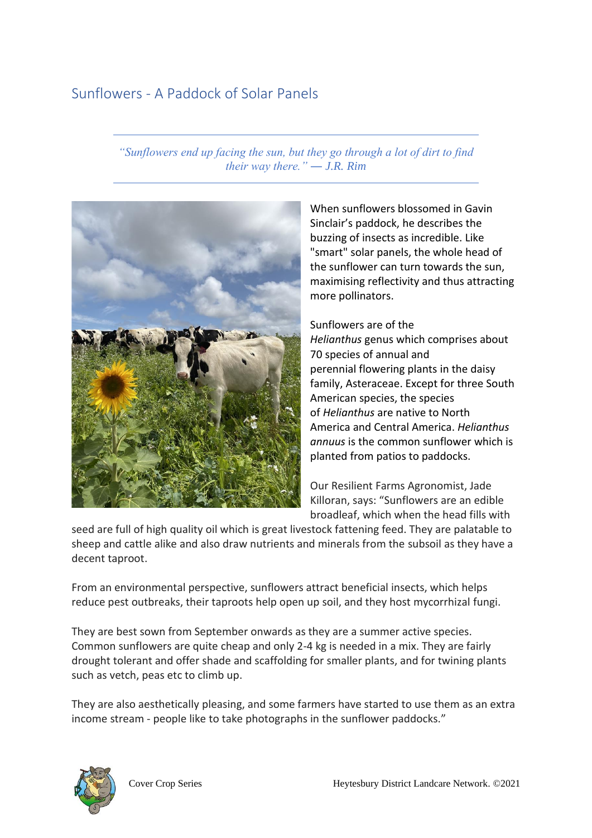# Sunflowers - A Paddock of Solar Panels

*"Sunflowers end up facing the sun, but they go through a lot of dirt to find their way there." ― J.R. Rim*



When sunflowers blossomed in Gavin Sinclair's paddock, he describes the buzzing of insects as incredible. Like "smart" solar panels, the whole head of the sunflower can turn towards the sun, maximising reflectivity and thus attracting more pollinators.

Sunflowers are of the *Helianthus* [genus](https://en.wikipedia.org/wiki/Genus) which comprises about 70 [species](https://en.wikipedia.org/wiki/Species) of annual and perennial [flowering plants](https://en.wikipedia.org/wiki/Flowering_plant) in the daisy family, [Asteraceae.](https://en.wikipedia.org/wiki/Asteraceae) Except for three [South](https://en.wikipedia.org/wiki/South_America)  [American](https://en.wikipedia.org/wiki/South_America) species, the species of *Helianthus* are native to [North](https://en.wikipedia.org/wiki/North_America)  [America](https://en.wikipedia.org/wiki/North_America) and [Central America.](https://en.wikipedia.org/wiki/Central_America) *Helianthus annuus* is the common sunflower which is planted from patios to paddocks.

Our Resilient Farms Agronomist, Jade Killoran, says: "Sunflowers are an edible broadleaf, which when the head fills with

seed are full of high quality oil which is great livestock fattening feed. They are palatable to sheep and cattle alike and also draw nutrients and minerals from the subsoil as they have a decent taproot.

From an environmental perspective, sunflowers attract beneficial insects, which helps reduce pest outbreaks, their taproots help open up soil, and they host mycorrhizal fungi.

They are best sown from September onwards as they are a summer active species. Common sunflowers are quite cheap and only 2-4 kg is needed in a mix. They are fairly drought tolerant and offer shade and scaffolding for smaller plants, and for twining plants such as vetch, peas etc to climb up.

They are also aesthetically pleasing, and some farmers have started to use them as an extra income stream - people like to take photographs in the sunflower paddocks."

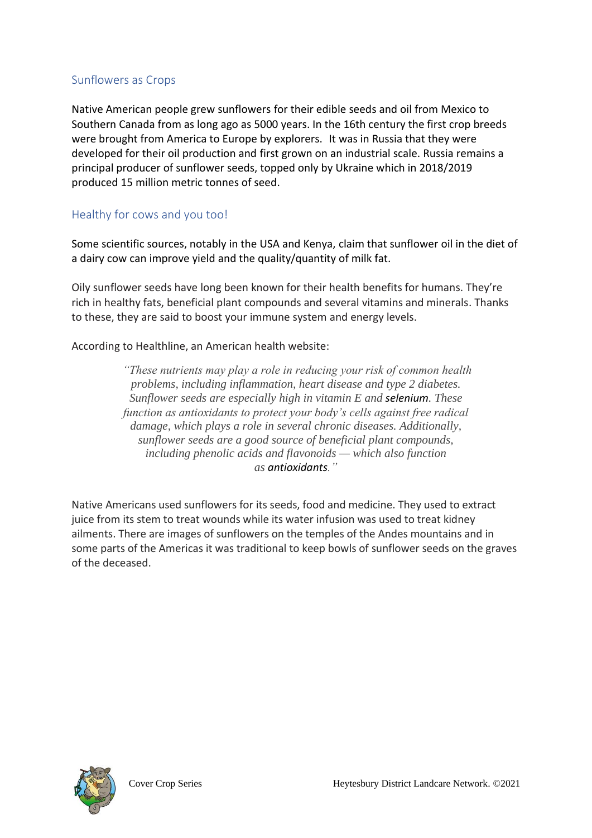### Sunflowers as Crops

Native American people grew sunflowers for their edible seeds and oil from Mexico to Southern Canada from as long ago as 5000 years. In the 16th century the first crop breeds were brought from America to Europe by explorers. It was in Russia that they were developed for their oil production and first grown on an industrial scale. Russia remains a principal producer of sunflower seeds, topped only by Ukraine which in 2018/2019 produced 15 million metric tonnes of seed.

### Healthy for cows and you too!

Some scientific sources, notably in the USA and Kenya, claim that sunflower oil in the diet of a dairy cow can improve yield and the quality/quantity of milk fat.

Oily sunflower seeds have long been known for their health benefits for humans. They're rich in healthy fats, beneficial plant compounds and several vitamins and minerals. Thanks to these, they are said to boost your immune system and energy levels.

According to Healthline, an American health website:

*"These nutrients may play a role in reducing your risk of common health problems, including inflammation, heart disease and type 2 diabetes. Sunflower seeds are especially high in vitamin E and [selenium](https://www.healthline.com/nutrition/selenium-benefits). These function as antioxidants to protect your body's cells against free radical damage, which plays a role in several chronic diseases. Additionally, sunflower seeds are a good source of beneficial plant compounds, including phenolic acids and flavonoids — which also function as [antioxidants](https://www.healthline.com/nutrition/foods-high-in-antioxidants)."*

Native Americans used sunflowers for its seeds, food and medicine. They used to extract juice from its stem to treat wounds while its water infusion was used to treat kidney ailments. There are images of sunflowers on the temples of the Andes mountains and in some parts of the Americas it was traditional to keep bowls of sunflower seeds on the graves of the deceased.

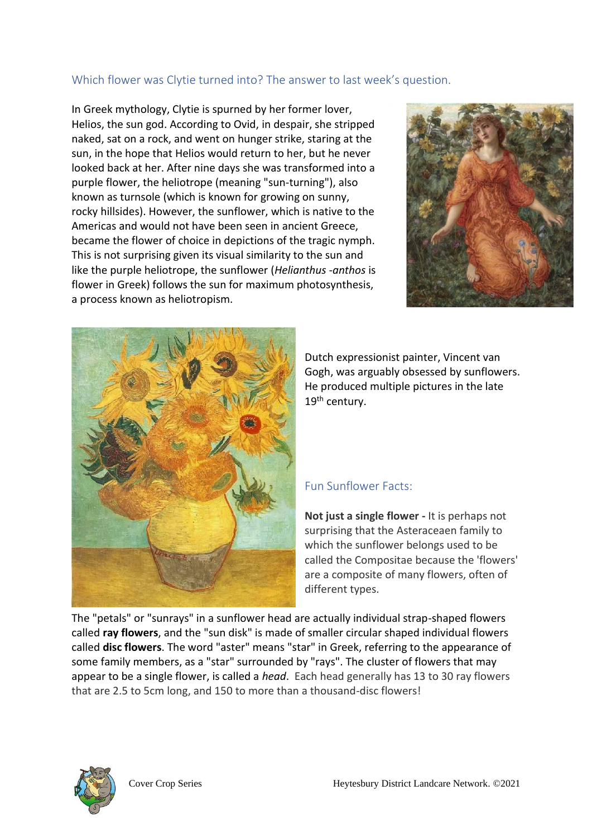## Which flower was Clytie turned into? The answer to last week's question.

In Greek mythology, Clytie is spurned by her former lover, Helios, the sun god. According to Ovid, in despair, she stripped naked, sat on a rock, and went on hunger strike, staring at the sun, in the hope that Helios would return to her, but he never looked back at her. After nine days she was transformed into a purple flower, the [heliotrope](https://en.wikipedia.org/wiki/Heliotropium) (meaning "sun-turning"), also known as turnsole (which is known for growing on sunny, rocky hillsides). However, the sunflower, which is native to the Americas and would not have been seen in ancient Greece, became the flower of choice in depictions of the tragic nymph. This is not surprising given its visual similarity to the sun and like the purple heliotrope, the sunflower (*Helianthus -anthos* is flower in Greek) follows the sun for maximum photosynthesis, a process known as heliotropism.





Dutch expressionist painter, Vincent van Gogh, was arguably obsessed by sunflowers. He produced multiple pictures in the late 19<sup>th</sup> century.

#### Fun Sunflower Facts:

**Not just a single flower -** It is perhaps not surprising that the Asteraceaen family to which the sunflower belongs used to be called the Compositae because the 'flowers' are a composite of many flowers, often of different types.

The "petals" or "sunrays" in a sunflower head are actually individual strap-shaped flowers called **ray flowers**, and the "sun disk" is made of smaller circular shaped individual flowers called **disc flowers**. The word "aster" means "star" in Greek, referring to the appearance of some family members, as a "star" surrounded by "rays". The cluster of flowers that may appear to be a single flower, is called a *head*. Each head generally has 13 to 30 ray flowers that are 2.5 to 5cm long, and 150 to more than a thousand-disc flowers!